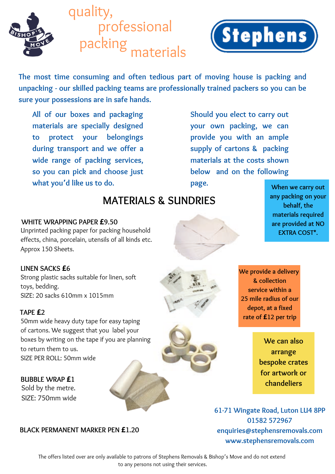

quality, professional<br>packing materials



**The most time consuming and often tedious part of moving house is packing and unpacking - our skilled packing teams are professionally trained packers so you can be sure your possessions are in safe hands.**

**All of our boxes and packaging materials are specially designed to protect your belongings during transport and we offer a wide range of packing services, so you can pick and choose just what you'd like us to do.**

**Should you elect to carry out your own packing, we can provide you with an ample supply of cartons & packing materials at the costs shown below and on the following page.**

# **MATERIALS & SUNDRIES**

## **WHITE WRAPPING PAPER £9.50**

Unprinted packing paper for packing household effects, china, porcelain, utensils of all kinds etc. Approx 150 Sheets.

#### **LINEN SACKS £6**

Strong plastic sacks suitable for linen, soft toys, bedding. SIZE: 20 sacks 610mm x 1015mm

## **TAPE £2**

50mm wide heavy duty tape for easy taping of cartons. We suggest that you label your boxes by writing on the tape if you are planning to return them to us. SIZE PER ROLL: 50mm wide

**BUBBLE WRAP £1** Sold by the metre. SIZE: 750mm wide

#### **BLACK PERMANENT MARKER PEN £1.20**

**When we carry out any packing on your behalf, the materials required are provided at NO EXTRA COST\*.**



**We provide a delivery & collection service within a 25 mile radius of our depot, at a fixed rate of £12 per trip**

> **We can also arrange bespoke crates for artwork or chandeliers**

**61-71 Wingate Road, Luton LU4 8PP 01582 572967 enquiries@stephensremovals.com www.stephensremovals.com**

The offers listed over are only available to patrons of Stephens Removals & Bishop's Move and do not extend to any persons not using their services.